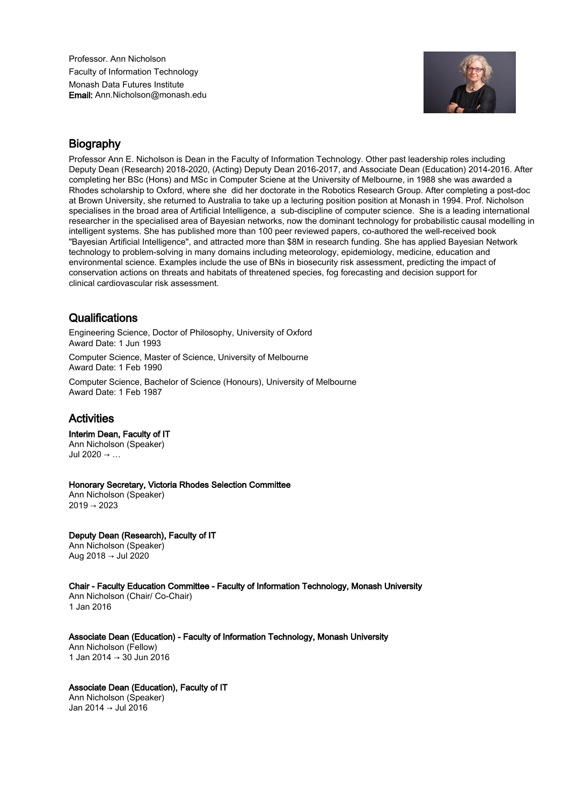Professor. Ann Nicholson Faculty of Information Technology Monash Data Futures Institute Email: Ann.Nicholson@monash.edu



## **Biography**

Professor Ann E. Nicholson is Dean in the Faculty of Information Technology. Other past leadership roles including Deputy Dean (Research) 2018-2020, (Acting) Deputy Dean 2016-2017, and Associate Dean (Education) 2014-2016. After completing her BSc (Hons) and MSc in Computer Sciene at the University of Melbourne, in 1988 she was awarded a Rhodes scholarship to Oxford, where she did her doctorate in the Robotics Research Group. After completing a post-doc at Brown University, she returned to Australia to take up a lecturing position position at Monash in 1994. Prof. Nicholson specialises in the broad area of Artificial Intelligence, a sub-discipline of computer science. She is a leading international researcher in the specialised area of Bayesian networks, now the dominant technology for probabilistic causal modelling in intelligent systems. She has published more than 100 peer reviewed papers, co-authored the well-received book "Bayesian Artificial Intelligence", and attracted more than \$8M in research funding. She has applied Bayesian Network technology to problem-solving in many domains including meteorology, epidemiology, medicine, education and environmental science. Examples include the use of BNs in biosecurity risk assessment, predicting the impact of conservation actions on threats and habitats of threatened species, fog forecasting and decision support for clinical cardiovascular risk assessment.

## **Qualifications**

Engineering Science, Doctor of Philosophy, University of Oxford Award Date: 1 Jun 1993

Computer Science, Master of Science, University of Melbourne Award Date: 1 Feb 1990

Computer Science, Bachelor of Science (Honours), University of Melbourne Award Date: 1 Feb 1987

## Activities

## Interim Dean, Faculty of IT

Ann Nicholson (Speaker) Jul 2020 → …

Honorary Secretary, Victoria Rhodes Selection Committee

Ann Nicholson (Speaker)  $2019 \rightarrow 2023$ 

Deputy Dean (Research), Faculty of IT Ann Nicholson (Speaker) Aug 2018 → Jul 2020

Chair - Faculty Education Committee - Faculty of Information Technology, Monash University Ann Nicholson (Chair/ Co-Chair) 1 Jan 2016

Associate Dean (Education) - Faculty of Information Technology, Monash University Ann Nicholson (Fellow) 1 Jan 2014 → 30 Jun 2016

Associate Dean (Education), Faculty of IT Ann Nicholson (Speaker) Jan 2014 → Jul 2016